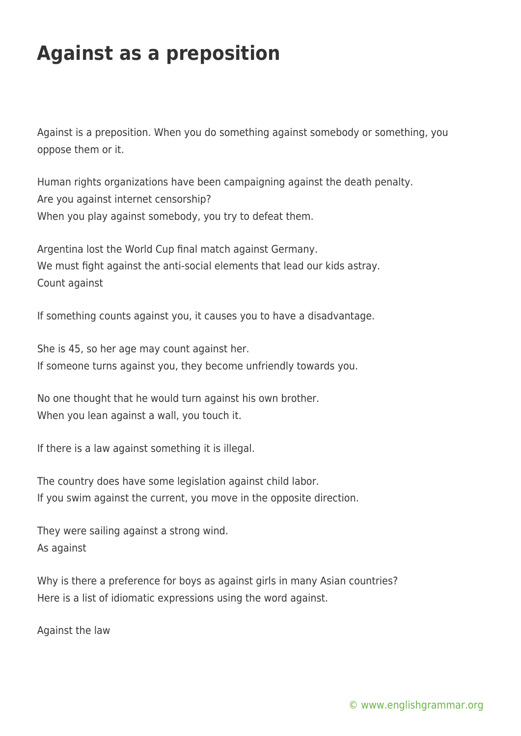## **Against as a preposition**

Against is a preposition. When you do something against somebody or something, you oppose them or it.

Human rights organizations have been campaigning against the death penalty. Are you against internet censorship? When you play against somebody, you try to defeat them.

Argentina lost the World Cup final match against Germany. We must fight against the anti-social elements that lead our kids astray. Count against

If something counts against you, it causes you to have a disadvantage.

She is 45, so her age may count against her. If someone turns against you, they become unfriendly towards you.

No one thought that he would turn against his own brother. When you lean against a wall, you touch it.

If there is a law against something it is illegal.

The country does have some legislation against child labor. If you swim against the current, you move in the opposite direction.

They were sailing against a strong wind. As against

Why is there a preference for boys as against girls in many Asian countries? Here is a list of idiomatic expressions using the word against.

Against the law